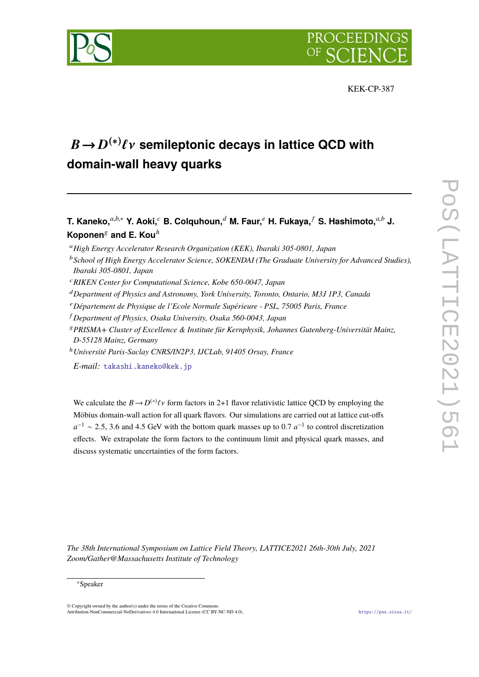



KEK-CP-387

# $B \to D^{(*)} \ell \nu$  semileptonic decays in lattice QCD with<br>demain well begave quarks **domain-wall heavy quarks**

**T. Kaneko,***a*,*b*,<sup>∗</sup> **Y. Aoki,***<sup>c</sup>* **B. Colquhoun,***<sup>d</sup>* **M. Faur,***<sup>e</sup>* **H. Fukaya,** *<sup>f</sup>* **S. Hashimoto,***a*,*<sup>b</sup>* **J. Koponen**<sup>g</sup> **and E. Kou***<sup>h</sup>*

<sup>a</sup>*High Energy Accelerator Research Organization (KEK), Ibaraki 305-0801, Japan*

<sup>c</sup>*RIKEN Center for Computational Science, Kobe 650-0047, Japan*

- <sup>d</sup>*Department of Physics and Astronomy, York University, Toronto, Ontario, M3J 1P3, Canada*
- <sup>e</sup>*Département de Physique de l'Ecole Normale Supérieure PSL, 75005 Paris, France*
- <sup>f</sup> *Department of Physics, Osaka University, Osaka 560-0043, Japan*
- <sup>g</sup>*PRISMA+ Cluster of Excellence & Institute für Kernphysik, Johannes Gutenberg-Universität Mainz, D-55128 Mainz, Germany*

<sup>h</sup>*Université Paris-Saclay CNRS/IN2P3, IJCLab, 91405 Orsay, France*

*E-mail:* [takashi.kaneko@kek.jp](mailto:takashi.kaneko@kek.jp)

We calculate the  $B \to D^{(*)}\ell\nu$  form factors in 2+1 flavor relativistic lattice QCD by employing the Möbius domain-wall action for all quark flavors. Our simulations are carried out at lattice cut-offs  $a^{-1} \sim 2.5$ , 3.6 and 4.5 GeV with the bottom quark masses up to 0.7  $a^{-1}$  to control discretization effects. We extrapolate the form factors to the continuum limit and physical quark masses, and discuss systematic uncertainties of the form factors.

*The 38th International Symposium on Lattice Field Theory, LATTICE2021 26th-30th July, 2021 Zoom/Gather@Massachusetts Institute of Technology*

<sup>b</sup>*School of High Energy Accelerator Science, SOKENDAI (The Graduate University for Advanced Studies), Ibaraki 305-0801, Japan*

<sup>∗</sup>Speaker

 $\odot$  Copyright owned by the author(s) under the terms of the Creative Common Attribution-NonCommercial-NoDerivatives 4.0 International License (CC BY-NC-ND 4.0). <https://pos.sissa.it/>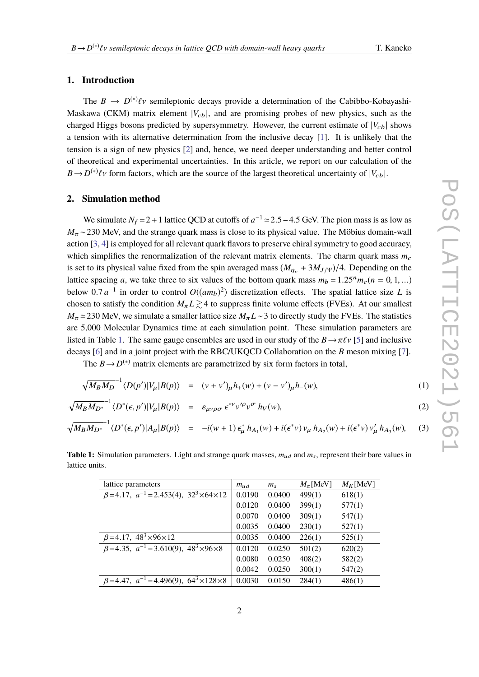# **1. Introduction**

The  $B \to D^{(*)}\ell\nu$  semileptonic decays provide a determination of the Cabibbo-Kobayashi-Maskawa (CKM) matrix element  $|V_{cb}|$ , and are promising probes of new physics, such as the charged Higgs bosons predicted by supersymmetry. However, the current estimate of  $|V_{cb}|$  shows a tension with its alternative determination from the inclusive decay [\[1\]](#page-7-0). It is unlikely that the tension is a sign of new physics [\[2\]](#page-7-1) and, hence, we need deeper understanding and better control of theoretical and experimental uncertainties. In this article, we report on our calculation of the  $B \rightarrow D^{(*)}\ell\nu$  form factors, which are the source of the largest theoretical uncertainty of  $|V_{cb}|$ .

# **2. Simulation method**

We simulate  $N_f = 2 + 1$  lattice QCD at cutoffs of  $a^{-1} \approx 2.5 - 4.5$  GeV. The pion mass is as low as <br>220 MeV, and the strange sucely mass is along to its physical value. The Mähing demain well  $M_\pi \sim 230$  MeV, and the strange quark mass is close to its physical value. The Möbius domain-wall action [\[3,](#page-7-2) [4\]](#page-7-3) is employed for all relevant quark flavors to preserve chiral symmetry to good accuracy, which simplifies the renormalization of the relevant matrix elements. The charm quark mass  $m_c$ is set to its physical value fixed from the spin averaged mass  $(M_{n_c} + 3M_{J/\Psi})/4$ . Depending on the lattice spacing *a*, we take three to six values of the bottom quark mass  $m_b = 1.25^n m_c (n = 0, 1, ...)$ below 0.7  $a^{-1}$  in order to control  $O((am_b)^2)$  discretization effects. The spatial lattice size *L* is<br>chosen to setiate the spatition *M, I*  $>$  4 to suppress finite volume effects (EVEs). At sure smallest chosen to satisfy the condition  $M_{\pi} L \gtrsim 4$  to suppress finite volume effects (FVEs). At our smallest  $M_\pi \simeq 230$  MeV, we simulate a smaller lattice size  $M_\pi L \sim 3$  to directly study the FVEs. The statistics are 5,000 Molecular Dynamics time at each simulation point. These simulation parameters are listed in Table [1.](#page-1-0) The same gauge ensembles are used in our study of the  $B \to \pi \ell \nu$  [\[5\]](#page-7-4) and inclusive decays [\[6\]](#page-7-5) and in a joint project with the RBC/UKQCD Collaboration on the *B* meson mixing [\[7\]](#page-7-6).

The  $B \rightarrow D^{(*)}$  matrix elements are parametrized by six form factors in total,

<span id="page-1-1"></span>
$$
\sqrt{M_B M_D}^{-1} \langle D(p') | V_\mu | B(p) \rangle = (v + v')_\mu h_+(w) + (v - v')_\mu h_-(w), \tag{1}
$$

$$
\sqrt{M_B M_{D^*}}^{-1} \langle D^*(\epsilon, p') | V_\mu | B(p) \rangle = \varepsilon_{\mu\nu\rho\sigma} \epsilon^{*\nu} \nu'^{\rho} \nu^{\sigma} h_V(w), \tag{2}
$$

$$
\sqrt{M_B M_{D^*}}^{-1} \langle D^*(\epsilon, p') | A_\mu | B(p) \rangle = -i(w+1) \epsilon_\mu^* h_{A_1}(w) + i(\epsilon^* v) v_\mu h_{A_2}(w) + i(\epsilon^* v) v_\mu' h_{A_3}(w), \quad (3)
$$

| lattice parameters                                                  | $m_{ud}$ | $m_{\rm s}$ | $M_{\pi}$ [MeV] | $M_K$ [MeV] |
|---------------------------------------------------------------------|----------|-------------|-----------------|-------------|
| $\beta$ =4.17, $a^{-1}$ =2.453(4), 32 <sup>3</sup> ×64×12           | 0.0190   | 0.0400      | 499(1)          | 618(1)      |
|                                                                     | 0.0120   | 0.0400      | 399(1)          | 577(1)      |
|                                                                     | 0.0070   | 0.0400      | 309(1)          | 547(1)      |
|                                                                     | 0.0035   | 0.0400      | 230(1)          | 527(1)      |
| $\beta = 4.17, 48^3 \times 96 \times 12$                            | 0.0035   | 0.0400      | 226(1)          | 525(1)      |
| $\beta$ =4.35, $a^{-1}$ =3.610(9), 48 <sup>3</sup> ×96×8            | 0.0120   | 0.0250      | 501(2)          | 620(2)      |
|                                                                     | 0.0080   | 0.0250      | 408(2)          | 582(2)      |
|                                                                     | 0.0042   | 0.0250      | 300(1)          | 547(2)      |
| $\beta = 4.47$ , $a^{-1} = 4.496(9)$ , $64^{3} \times 128 \times 8$ | 0.0030   | 0.0150      | 284(1)          | 486(1)      |
|                                                                     |          |             |                 |             |

<span id="page-1-0"></span>**Table 1:** Simulation parameters. Light and strange quark masses,  $m_{ud}$  and  $m_s$ , represent their bare values in lattice units.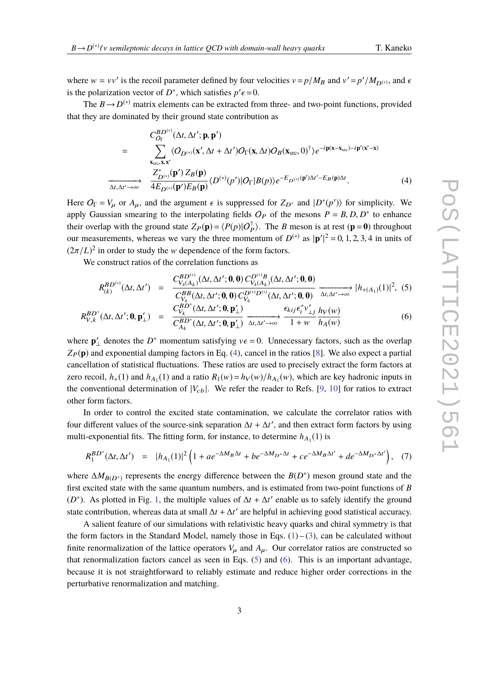where  $w = vv'$  is the recoil parameter defined by four velocities  $v = p/M_B$  and  $v' = p'/M_{D^{(*)}}$ , and  $\epsilon$ is the polarization vector of *D*<sup>\*</sup>, which satisfies  $p' \epsilon = 0$ .<br>The *P*  $\rightarrow$  *D*<sup>(\*)</sup> metrix elements can be extracted from

The  $B \rightarrow D^{(*)}$  matrix elements can be extracted from three- and two-point functions, provided that they are dominated by their ground state contribution as

<span id="page-2-0"></span>
$$
C_{O_{\Gamma}}^{BD^{(*)}}(\Delta t, \Delta t'; \mathbf{p}, \mathbf{p'})
$$
\n
$$
= \sum_{\substack{\mathbf{x}_{\text{src}}, \mathbf{x}, \mathbf{x}' \\ \Delta t, \Delta t' \to \infty}} \langle O_{D^{(*)}}(\mathbf{x}', \Delta t + \Delta t')O_{\Gamma}(\mathbf{x}, \Delta t)O_{B}(\mathbf{x}_{\text{src}}, 0)^{\dagger} \rangle e^{-i\mathbf{p}(\mathbf{x} - \mathbf{x}_{\text{src}}) - i\mathbf{p}'(\mathbf{x}' - \mathbf{x})}
$$
\n
$$
\xrightarrow[\Delta t, \Delta t' \to \infty]{} \frac{Z_{D^{(*)}}^{*}(\mathbf{p}') Z_{B}(\mathbf{p})}{4E_{D^{(*)}}(\mathbf{p}')E_{B}(\mathbf{p})} \langle D^{(*)}(p')|O_{\Gamma}|B(p)\rangle e^{-E_{D^{(*)}}(\mathbf{p}')\Delta t' - E_{B}(\mathbf{p})\Delta t}.
$$
\n(4)

Here  $O_{\Gamma} = V_{\mu}$  or  $A_{\mu}$ , and the argument  $\epsilon$  is suppressed for  $Z_{D^*}$  and  $|D^*(p')\rangle$  for simplicity. We can be considered to the internal stine fields  $O_{\Gamma}$  of the mesons  $P_{\Gamma} = P_{\Gamma} D_{\Gamma} D^*$  to enhance apply Gaussian smearing to the interpolating fields  $O_P$  of the mesons  $P = B, D, D^*$  to enhance<br>their eventon with the ground state  $Z_n(n) = (P(n)Q^{\dagger})$ . The *P* meson is at rest  $(n-0)$  throughout their overlap with the ground state  $Z_P(\mathbf{p}) = \langle P(p)|O_P^{\dagger}\rangle$ . The *B* meson is at rest ( $\mathbf{p} = \mathbf{0}$ ) throughout our measurements, whereas we vary the three momentum of  $D^{(*)}$  as  $|\mathbf{p}'|^2 = 0, 1, 2, 3, 4$  in units of  $(2\pi/L)^2$  in order to study the *w* dependence of the form feature. |  $(2\pi/L)^2$  in order to study the w dependence of the form factors.

We construct ratios of the correlation functions as

<span id="page-2-1"></span>
$$
R_{(k)}^{BD^{(*)}}(\Delta t, \Delta t') = \frac{C_{V_4(A_k)}^{BD^{(*)}}(\Delta t, \Delta t'; \mathbf{0}, \mathbf{0}) C_{V_4(A_k)}^{D^{(*)}B}(\Delta t, \Delta t'; \mathbf{0}, \mathbf{0})}{C_{V_4}^{BB}(\Delta t, \Delta t'; \mathbf{0}, \mathbf{0}) C_{V_4}^{D^{(*)}D^{(*)}}(\Delta t, \Delta t'; \mathbf{0}, \mathbf{0})} \xrightarrow{\Delta t, \Delta t' \to \infty} |h_{+(A_1)}(1)|^2, (5)
$$
\n
$$
\frac{BD^*}{\Delta t, \Delta t'}(\Delta t, \Delta t'; \mathbf{0}, \mathbf{p}'_{\perp}) = \frac{C_{V_k}^{BD^*}(\Delta t, \Delta t'; \mathbf{0}, \mathbf{p}'_{\perp})}{C_{V_k}^{BD^*}(\Delta t, \Delta t'; \mathbf{0}, \mathbf{p}'_{\perp})} \xrightarrow{\epsilon_{kij} \epsilon_i^* v'_{\perp j}} \frac{h_V(w)}{h_V(w)}
$$

$$
R_{V,k}^{BD^*}(\Delta t, \Delta t'; \mathbf{0}, \mathbf{p}'_{\perp}) = \frac{\partial_{V_k}(\Delta t, \Delta t'; \mathbf{0}, \mathbf{p}'_{\perp})}{C_{A_k}^{BD^*}(\Delta t, \Delta t'; \mathbf{0}, \mathbf{p}'_{\perp})} \xrightarrow{\Delta t, \Delta t' \to \infty} \frac{\partial_{\kappa t} J \partial_t \nu_{\perp} (W)}{1 + w h_A(w)}
$$
(6)

where  $\mathbf{p}'_{\perp}$  denotes the *D*<sup>\*</sup> momentum satisfying  $v \epsilon = 0$ . Unnecessary factors, such as the overlap  $Z_P(\mathbf{p})$  and exponential damping factors in Eq. [\(4\)](#page-2-0), cancel in the ratios [\[8\]](#page-7-7). We also expect a partial cancellation of statistical fluctuations. These ratios are used to precisely extract the form factors at zero recoil,  $h_+(1)$  and  $h_{A_1}(1)$  and a ratio  $R_1(w) = h_V(w)/h_{A_1}(w)$ , which are key hadronic inputs in the conventional determination of  $|V_{cb}|$ . We refer the reader to Refs. [\[9,](#page-7-8) [10\]](#page-7-9) for ratios to extract other form factors.

In order to control the excited state contamination, we calculate the correlator ratios with four different values of the source-sink separation  $\Delta t + \Delta t'$ , and then extract form factors by using multi-exponential fits. The fitting form, for instance, to determine  $h_{A_1}(1)$  is

<span id="page-2-2"></span>
$$
R_1^{BD^*}(\Delta t, \Delta t') = |h_{A_1}(1)|^2 \left(1 + ae^{-\Delta M_B \Delta t} + be^{-\Delta M_{D^*} \Delta t} + ce^{-\Delta M_B \Delta t'} + de^{-\Delta M_{D^*} \Delta t'}\right), \quad (7)
$$

where  $\Delta M_{B(D^*)}$  represents the energy difference between the  $B(D^*)$  meson ground state and the first excited state with the same quantum numbers, and is estimated from two-point functions of *B* ( $D^*$ ). As plotted in Fig. [1,](#page-3-0) the multiple values of  $\Delta t + \Delta t'$  enable us to safely identify the ground state contribution, whereas data at small  $\Delta t + \Delta t'$  are helpful in achieving good statistical accuracy.

A salient feature of our simulations with relativistic heavy quarks and chiral symmetry is that the form factors in the Standard Model, namely those in Eqs.  $(1)$  – [\(3\)](#page-1-1), can be calculated without finite renormalization of the lattice operators  $V_\mu$  and  $A_\mu$ . Our correlator ratios are constructed so that renormalization factors cancel as seen in Eqs. [\(5\)](#page-2-1) and [\(6\)](#page-2-1). This is an important advantage, because it is not straightforward to reliably estimate and reduce higher order corrections in the perturbative renormalization and matching.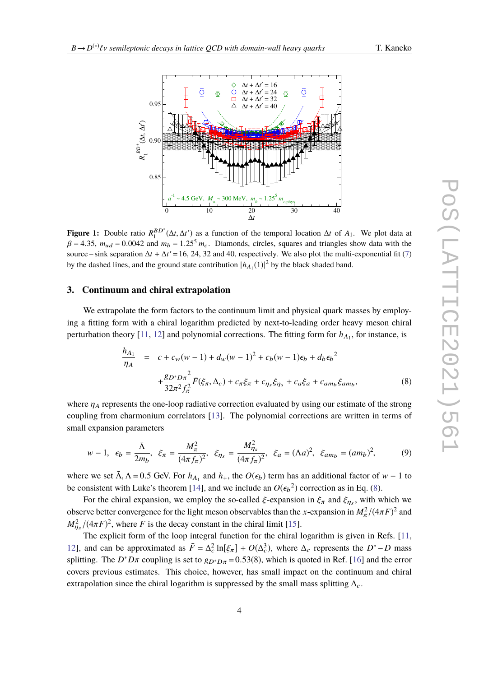<span id="page-3-0"></span>

**Figure 1:** Double ratio  $R_1^{BD}^*(\Delta t, \Delta t')$  as a function of the temporal location  $\Delta t$  of *A*<sub>1</sub>. We plot data at  $\beta = 4.35$  m  $\ldots \approx 0.0042$  and m  $\ldots \approx 1.255$  m. Diamonds similes sources and triangles show data with  $\beta = 4.35$ ,  $m_{ud} = 0.0042$  and  $m_b = 1.25<sup>5</sup> m_c$ . Diamonds, circles, squares and triangles show data with the source – sink separation  $\Delta t + \Delta t' = 16$ , 24, 32 and 40, respectively. We also plot the multi-exponential fit [\(7\)](#page-2-2) by the dashed lines, and the ground state contribution  $|h_{A_1}(1)|^2$  by the black shaded band.

#### **3. Continuum and chiral extrapolation**

We extrapolate the form factors to the continuum limit and physical quark masses by employing a fitting form with a chiral logarithm predicted by next-to-leading order heavy meson chiral perturbation theory  $[11, 12]$  $[11, 12]$  $[11, 12]$  and polynomial corrections. The fitting form for  $h_{A_1}$ , for instance, is

<span id="page-3-1"></span>
$$
\frac{h_{A_1}}{\eta_A} = c + c_w(w - 1) + d_w(w - 1)^2 + c_b(w - 1)\epsilon_b + d_b \epsilon_b^2
$$
  
+ 
$$
\frac{g_{D^*D\pi}^2}{32\pi^2 f_{\pi}^2} \bar{F}(\xi_{\pi}, \Delta_c) + c_{\pi}\xi_{\pi} + c_{\eta_s}\xi_{\eta_s} + c_a\xi_a + c_{am_b}\xi_{am_b},
$$
 (8)

where  $\eta_A$  represents the one-loop radiative correction evaluated by using our estimate of the strong coupling from charmonium correlators [\[13\]](#page-7-12). The polynomial corrections are written in terms of small expansion parameters

<span id="page-3-2"></span>
$$
w - 1, \ \epsilon_b = \frac{\bar{\Lambda}}{2m_b}, \ \xi_{\pi} = \frac{M_{\pi}^2}{(4\pi f_{\pi})^2}, \ \xi_{\eta_s} = \frac{M_{\eta_s}^2}{(4\pi f_{\pi})^2}, \ \xi_a = (\Lambda a)^2, \ \xi_{am_b} = (am_b)^2,
$$
 (9)

where we set  $\bar{\Lambda}$ ,  $\Lambda$  = 0.5 GeV. For  $h_{A_1}$  and  $h_+$ , the  $O(\epsilon_b)$  term has an additional factor of w − 1 to he consistent with Lyke's theorem [14], and we include an  $O(\epsilon^2)$  correction as in Eq. (8) be consistent with Luke's theorem [\[14\]](#page-7-13), and we include an  $O(\epsilon_b^2)$  correction as in Eq. [\(8\)](#page-3-1).

For the chiral expansion, we employ the so-called  $\xi$ -expansion in  $\xi_{\pi}$  and  $\xi_{\eta_s}$ , with which we<br>we hatter convergence for the light meson observables than the *u* expansion in  $M^2/((4-E)^2$  and observe better convergence for the light meson observables than the *x*-expansion in  $M_{\pi}^2/(4\pi F)^2$  and  $M_{\pi}^2/(4\pi F)^2$  where *F* is the decay constant in the chiral limit [15]  $M_n^2$  $\frac{2}{\eta_s}$ /( $4\pi F$ )<sup>2</sup>, where *F* is the decay constant in the chiral limit [\[15\]](#page-8-0).

The explicit form of the loop integral function for the chiral logarithm is given in Refs. [\[11,](#page-7-10) [12\]](#page-7-11), and can be approximated as  $\bar{F} = \Delta_c^2 \ln[\xi_\pi] + O(\Delta_c^3)$ , where  $\Delta_c$  represents the *D*<sup>\*</sup> – *D* mass splitting. The  $D^*D\pi$  coupling is set to  $g_{D^*D\pi} = 0.53(8)$ , which is quoted in Ref. [\[16\]](#page-8-1) and the error covers previous estimates. This choice, however, has small impact on the continuum and chiral extrapolation since the chiral logarithm is suppressed by the small mass splitting  $\Delta_c$ .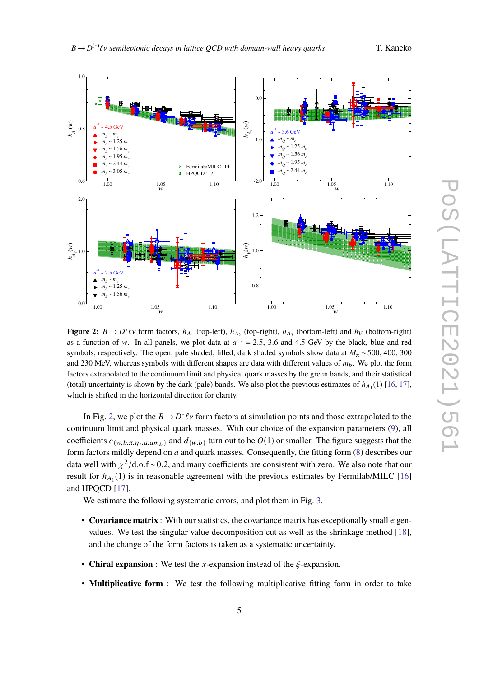<span id="page-4-0"></span>

**Figure 2:**  $B \to D^* \ell \nu$  form factors,  $h_{A_1}$  (top-left),  $h_{A_2}$  (top-right),  $h_{A_3}$  (bottom-left) and  $h_V$  (bottom-right) as a function of w. In all panels, we plot data at  $a^{-1} = 2.5$ , 3.6 and 4.5 GeV by the black, blue and red<br>symbols, respectively. The open pels sheded, filled dark sheded symbols show data at  $M = 500,400,300$ symbols, respectively. The open, pale shaded, filled, dark shaded symbols show data at  $M_\pi \sim 500$ , 400, 300 and 230 MeV, whereas symbols with different shapes are data with different values of *m*b. We plot the form factors extrapolated to the continuum limit and physical quark masses by the green bands, and their statistical (total) uncertainty is shown by the dark (pale) bands. We also plot the previous estimates of  $h_{A_1}(1)$  [\[16,](#page-8-1) [17\]](#page-8-2), which is shifted in the horizontal direction for clarity.

In Fig. [2,](#page-4-0) we plot the  $B \to D^* \ell \nu$  form factors at simulation points and those extrapolated to the<br>inverse limit and physical quark masses. With our choice of the expansion permeters (0), all continuum limit and physical quark masses. With our choice of the expansion parameters [\(9\)](#page-3-2), all coefficients  $c_{\{w,b,\pi,\eta_s,a,amp\}}$  and  $d_{\{w,b\}}$  turn out to be  $O(1)$  or smaller. The figure suggests that the form factors mildly depend on *a* and quark masses. Consequently, the fitting form [\(8\)](#page-3-1) describes our data well with  $\chi^2$ /d.o.f ∼0.2, and many coefficients are consistent with zero. We also note that our recept to the consistent with the register with the consistent with  $\chi^2$  /d.o.f and  $\chi^2$  /d.o.f and  $\chi^2$  /d.o.f result for  $h_{A_1}(1)$  is in reasonable agreement with the previous estimates by Fermilab/MILC [\[16\]](#page-8-1) and HPQCD [\[17\]](#page-8-2).

We estimate the following systematic errors, and plot them in Fig. [3.](#page-5-0)

- **Covariance matrix** : With our statistics, the covariance matrix has exceptionally small eigenvalues. We test the singular value decomposition cut as well as the shrinkage method [\[18\]](#page-8-3), and the change of the form factors is taken as a systematic uncertainty.
- **Chiral expansion** : We test the *x*-expansion instead of the  $\xi$ -expansion.
- **Multiplicative form** : We test the following multiplicative fitting form in order to take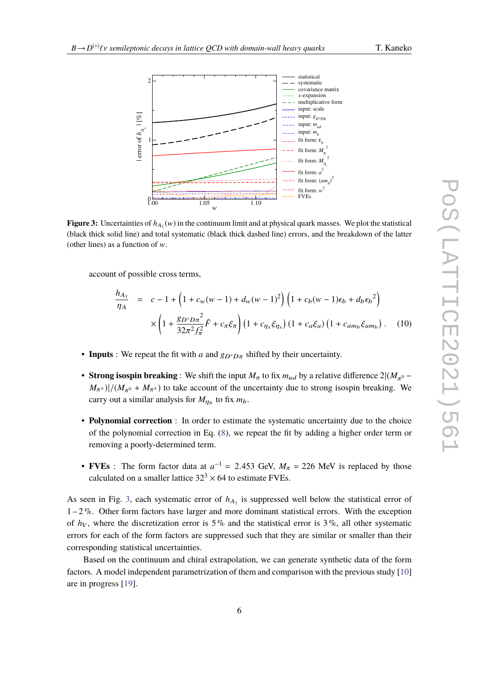<span id="page-5-0"></span>

**Figure 3:** Uncertainties of  $h_{A_1}(w)$  in the continuum limit and at physical quark masses. We plot the statistical (black thick solid line) and total systematic (black thick dashed line) errors, and the breakdown of the latter (other lines) as a function of  $w$ .

account of possible cross terms,

$$
\frac{h_{A_1}}{\eta_A} = c - 1 + \left(1 + c_w(w - 1) + d_w(w - 1)^2\right) \left(1 + c_b(w - 1)\epsilon_b + d_b \epsilon_b^2\right) \times \left(1 + \frac{g_D * D\pi^2}{32\pi^2 f_\pi^2} \bar{F} + c_\pi \xi_\pi\right) \left(1 + c_{\eta_s} \xi_{\eta_s}\right) \left(1 + c_a \xi_a\right) \left(1 + c_{am_b} \xi_{am_b}\right).
$$
 (10)

- **Inputs** : We repeat the fit with *a* and  $g_{D^*D\pi}$  shifted by their uncertainty.
- **Strong isospin breaking** : We shift the input  $M_{\pi}$  to fix  $m_{ud}$  by a relative difference  $2|(M_{\pi^0}-M_{\pi^0})|(M_{\pi^0}-M_{\pi^0})$  to take account of the uncertainty due to strong isospin breaking. We  $(M_{\pi^{\pm}})/((M_{\pi^0} + M_{\pi^{\pm}}))$  to take account of the uncertainty due to strong isospin breaking. We carry out a similar analysis for  $M_{\eta_b}$  to fix  $m_b$ .
- **Polynomial correction** : In order to estimate the systematic uncertainty due to the choice of the polynomial correction in Eq. [\(8\)](#page-3-1), we repeat the fit by adding a higher order term or removing a poorly-determined term.
- **FVEs** : The form factor data at  $a^{-1} = 2.453$  GeV,  $M_{\pi} = 226$  MeV is replaced by those each plattice  $223 \times 64$  to estimate FVEs calculated on a smaller lattice  $32<sup>3</sup> \times 64$  to estimate FVEs.

As seen in Fig. [3,](#page-5-0) each systematic error of  $h_{A_1}$  is suppressed well below the statistical error of  $1 - 2\%$ . Other form factors have larger and more dominant statistical errors. With the exception of  $h_V$ , where the discretization error is 5% and the statistical error is 3%, all other systematic errors for each of the form factors are suppressed such that they are similar or smaller than their corresponding statistical uncertainties.

Based on the continuum and chiral extrapolation, we can generate synthetic data of the form factors. A model independent parametrization of them and comparison with the previous study [\[10\]](#page-7-9) are in progress [\[19\]](#page-8-4).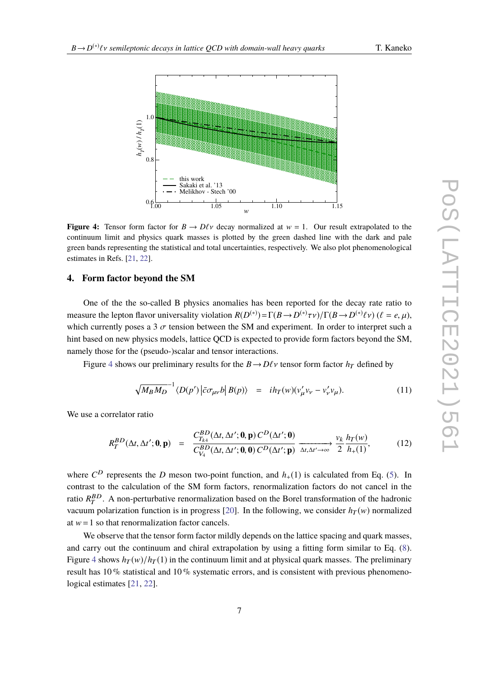<span id="page-6-0"></span>

**Figure 4:** Tensor form factor for  $B \to D\ell v$  decay normalized at  $w = 1$ . Our result extrapolated to the continuum limit and physics quark masses is plotted by the green dashed line with the dark and pale green bands representing the statistical and total uncertainties, respectively. We also plot phenomenological estimates in Refs. [\[21,](#page-8-5) [22\]](#page-8-6).

# **4. Form factor beyond the SM**

One of the the so-called B physics anomalies has been reported for the decay rate ratio to measure the lepton flavor universality violation  $R(D^{(*)}) = \Gamma(B \to D^{(*)}\tau \nu)/\Gamma(B \to D^{(*)}\ell \nu)$  ( $\ell = e, \mu$ ), which currently poses a 3  $\sigma$  tension between the SM and experiment. In order to interpret such a hint based on new physics models, lattice QCD is expected to provide form factors beyond the SM, namely those for the (pseudo-)scalar and tensor interactions.

Figure [4](#page-6-0) shows our preliminary results for the  $B \rightarrow D\ell \nu$  tensor form factor  $h_T$  defined by

$$
\sqrt{M_B M_D}^{-1} \langle D(p') | \bar{c} \sigma_{\mu \nu} b | B(p) \rangle = i h_T(w) (v'_{\mu} v_{\nu} - v'_{\nu} v_{\mu}). \tag{11}
$$

We use a correlator ratio

$$
R_T^{BD}(\Delta t, \Delta t'; \mathbf{0}, \mathbf{p}) = \frac{C_{T_{k4}}^{BD}(\Delta t, \Delta t'; \mathbf{0}, \mathbf{p}) C^D(\Delta t'; \mathbf{0})}{C_{V_4}^{BD}(\Delta t, \Delta t'; \mathbf{0}, \mathbf{0}) C^D(\Delta t'; \mathbf{p})} \xrightarrow{\Delta t, \Delta t' \to \infty} \frac{v_k}{2} \frac{h_T(w)}{h_+(1)},
$$
(12)

where  $C^D$  represents the *D* meson two-point function, and  $h_+(1)$  is calculated from Eq. [\(5\)](#page-2-1). In contrast to the calculation of the SM form factors, renormalization factors do not cancel in the ratio  $R_T^{BD}$ . A non-perturbative renormalization based on the Borel transformation of the hadronic vacuum polarization function is in progress [\[20\]](#page-8-7). In the following, we consider  $h<sub>T</sub>(w)$  normalized at  $w=1$  so that renormalization factor cancels.

We observe that the tensor form factor mildly depends on the lattice spacing and quark masses, and carry out the continuum and chiral extrapolation by using a fitting form similar to Eq. [\(8\)](#page-3-1). Figure [4](#page-6-0) shows  $h_T(w)/h_T(1)$  in the continuum limit and at physical quark masses. The preliminary result has 10 % statistical and 10 % systematic errors, and is consistent with previous phenomenological estimates [\[21,](#page-8-5) [22\]](#page-8-6).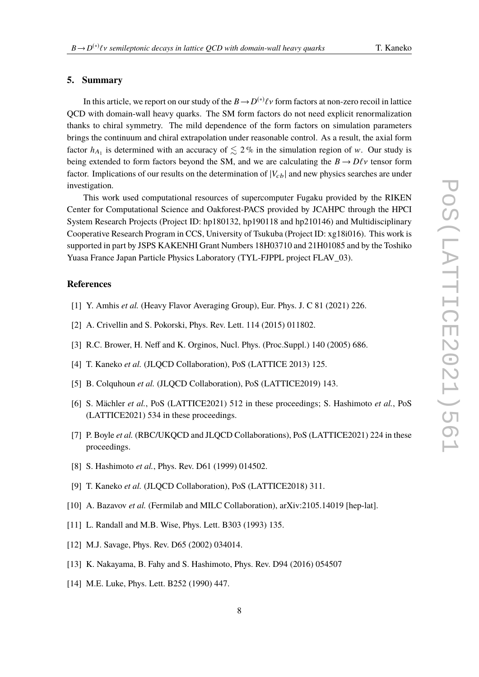# **5. Summary**

In this article, we report on our study of the  $B \to D^{(*)}\ell \nu$  form factors at non-zero recoil in lattice<br>(*x*) with domain well begun quarks. The SM form factors do not need avaliations are mediation QCD with domain-wall heavy quarks. The SM form factors do not need explicit renormalization thanks to chiral symmetry. The mild dependence of the form factors on simulation parameters brings the continuum and chiral extrapolation under reasonable control. As a result, the axial form factor  $h_{A_1}$  is determined with an accuracy of  $\lesssim 2\%$  in the simulation region of w. Our study is being extended to form factors beyond the SM, and we are calculating the  $B \to D\ell v$  tensor form factor. Implications of our results on the determination of  $|V_{cb}|$  and new physics searches are under investigation.

This work used computational resources of supercomputer Fugaku provided by the RIKEN Center for Computational Science and Oakforest-PACS provided by JCAHPC through the HPCI System Research Projects (Project ID: hp180132, hp190118 and hp210146) and Multidisciplinary Cooperative Research Program in CCS, University of Tsukuba (Project ID: xg18i016). This work is supported in part by JSPS KAKENHI Grant Numbers 18H03710 and 21H01085 and by the Toshiko Yuasa France Japan Particle Physics Laboratory (TYL-FJPPL project FLAV\_03).

### **References**

- <span id="page-7-0"></span>[1] Y. Amhis *et al.* (Heavy Flavor Averaging Group), Eur. Phys. J. C 81 (2021) 226.
- <span id="page-7-1"></span>[2] A. Crivellin and S. Pokorski, Phys. Rev. Lett. 114 (2015) 011802.
- <span id="page-7-2"></span>[3] R.C. Brower, H. Neff and K. Orginos, Nucl. Phys. (Proc.Suppl.) 140 (2005) 686.
- <span id="page-7-3"></span>[4] T. Kaneko *et al.* (JLQCD Collaboration), PoS (LATTICE 2013) 125.
- <span id="page-7-4"></span>[5] B. Colquhoun et al. (JLQCD Collaboration), PoS (LATTICE2019) 143.
- <span id="page-7-5"></span>[6] S. Mächler *et al.*, PoS (LATTICE2021) 512 in these proceedings; S. Hashimoto *et al.*, PoS (LATTICE2021) 534 in these proceedings.
- <span id="page-7-6"></span>[7] P. Boyle *et al.* (RBC/UKQCD and JLQCD Collaborations), PoS (LATTICE2021) 224 in these proceedings.
- <span id="page-7-7"></span>[8] S. Hashimoto *et al.*, Phys. Rev. D61 (1999) 014502.
- <span id="page-7-8"></span>[9] T. Kaneko *et al.* (JLQCD Collaboration), PoS (LATTICE2018) 311.
- <span id="page-7-9"></span>[10] A. Bazavov *et al.* (Fermilab and MILC Collaboration), arXiv:2105.14019 [hep-lat].
- <span id="page-7-10"></span>[11] L. Randall and M.B. Wise, Phys. Lett. B303 (1993) 135.
- <span id="page-7-11"></span>[12] M.J. Savage, Phys. Rev. D65 (2002) 034014.
- <span id="page-7-12"></span>[13] K. Nakayama, B. Fahy and S. Hashimoto, Phys. Rev. D94 (2016) 054507
- <span id="page-7-13"></span>[14] M.E. Luke, Phys. Lett. B252 (1990) 447.